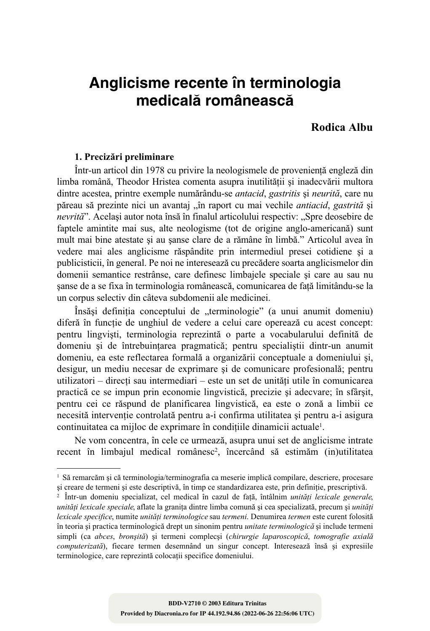# Anglicisme recente în terminologia medicală românească

## Rodica Albu

## 1. Precizări preliminare

Într-un articol din 1978 cu privire la neologismele de provenientă engleză din limba română. Theodor Hristea comenta asupra inutilitătii si inadecvării multora dintre acestea, printre exemple numărându-se *antacid*, gastritis și neurită, care nu păreau să prezinte nici un avantaj "în raport cu mai vechile *antiacid*, gastrită și nevrită". Acelasi autor nota însă în finalul articolului respectiv: "Spre deosebire de faptele amintite mai sus, alte neologisme (tot de origine anglo-americana) sunt mult mai bine atestate și au șanse clare de a rămâne în limbă." Articolul avea în vedere mai ales anglicisme răspândite prin intermediul presei cotidiene și a publicisticii, în general. Pe noi ne interesează cu precădere soarta anglicismelor din domenii semantice restrânse, care definesc limbajele speciale si care au sau nu sanse de a se fixa în terminologia românească, comunicarea de fată limitându-se la un corpus selectiv din câteva subdomenii ale medicinei.

Însăși definiția conceptului de "terminologie" (a unui anumit domeniu) diferă în functie de unghiul de vedere a celui care operează cu acest concept: pentru lingviști, terminologia reprezintă o parte a vocabularului definită de domeniu și de întrebuințarea pragmatică; pentru specialiștii dintr-un anumit domeniu, ea este reflectarea formală a organizării conceptuale a domeniului si, desigur, un mediu necesar de exprimare și de comunicare profesională; pentru utilizatori – direcți sau intermediari – este un set de unități utile în comunicarea practică ce se impun prin economie lingvistică, precizie și adecvare: în sfârsit, pentru cei ce răspund de planificarea lingvistică, ea este o zonă a limbii ce necesită intervenție controlată pentru a-i confirma utilitatea și pentru a-i asigura continuitatea ca mijloc de exprimare în conditiile dinamicii actuale<sup>1</sup>.

Ne vom concentra, în cele ce urmează, asupra unui set de anglicisme intrate recent în limbajul medical românesc<sup>2</sup>, încercând să estimăm (in)utilitatea

<sup>&</sup>lt;sup>1</sup> Să remarcăm și că terminologia/terminografia ca meserie implică compilare, descriere, procesare și creare de termeni și este descriptivă, în timp ce standardizarea este, prin definiție, prescriptivă.

<sup>&</sup>lt;sup>2</sup> Într-un domeniu specializat, cel medical în cazul de față, întâlnim *unități lexicale generale*, unități lexicale speciale, aflate la granița dintre limba comună și cea specializată, precum și unități lexicale specifice, numite unități terminologice sau termeni. Denumirea termen este curent folosită în teoria și practica terminologică drept un sinonim pentru *unitate terminologică* și include termeni simpli (ca abces, bronșită) și termeni complecși (chirurgie laparoscopică, tomografie axială computerizată), fiecare termen desemnând un singur concept. Interesează însă și expresiile terminologice, care reprezintă colocatii specifice domeniului.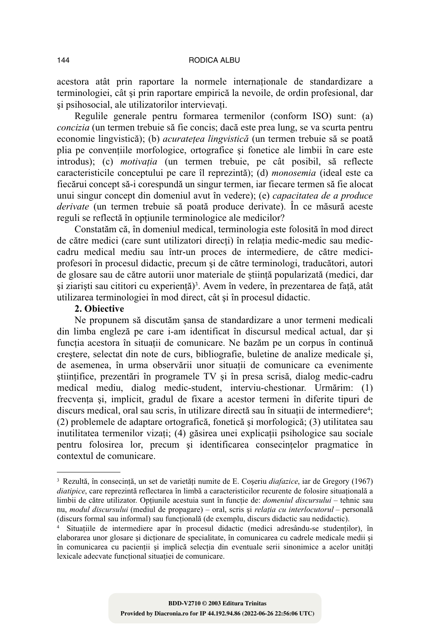#### RODICA ALBU

acestora atât prin raportare la normele internationale de standardizare a terminologiei, cât și prin raportare empirică la nevoile, de ordin profesional, dar si psihosocial, ale utilizatorilor intervievati.

Regulile generale pentru formarea termenilor (conform ISO) sunt: (a) *concizia* (un termen trebuie să fie concis; dacă este prea lung, se va scurta pentru economie lingvistică); (b) *acuratețea lingvistică* (un termen trebuie să se poată plia pe conventiile morfologice, ortografice și fonetice ale limbii în care este introdus); (c) *motivația* (un termen trebuie, pe cât posibil, să reflecte caracteristicile conceptului pe care îl reprezintă); (d) monosemia (ideal este ca fiecărui concept să-i corespundă un singur termen, iar fiecare termen să fie alocat unui singur concept din domeniul avut în vedere); (e) *capacitatea de a produce derivate* (un termen trebuie să poată produce derivate). În ce măsură aceste reguli se reflectă în optiunile terminologice ale medicilor?

Constatăm că, în domeniul medical, terminologia este folosită în mod direct de către medici (care sunt utilizatori directi) în relatia medic-medic sau mediccadru medical mediu sau într-un proces de intermediere, de către mediciprofesori în procesul didactic, precum și de către terminologi, traducători, autori de glosare sau de către autorii unor materiale de stiintă popularizată (medici, dar si ziaristi sau cititori cu experientă)<sup>3</sup>. Avem în vedere, în prezentarea de fată, atât utilizarea terminologiei în mod direct, cât și în procesul didactic.

## 2. Objective

Ne propunem să discutăm sansa de standardizare a unor termeni medicali din limba engleză pe care i-am identificat în discursul medical actual, dar și functia acestora în situatii de comunicare. Ne bazăm pe un corpus în continuă creștere, selectat din note de curs, bibliografie, buletine de analize medicale și, de asemenea, în urma observării unor situatii de comunicare ca evenimente stiintifice, prezentări în programele TV și în presa scrisă, dialog medic-cadru medical mediu, dialog medic-student, interviu-chestionar. Urmărim: (1) frecvența și, implicit, gradul de fixare a acestor termeni în diferite tipuri de discurs medical, oral sau scris, în utilizare directă sau în situatii de intermediere<sup>4</sup>; (2) problemele de adaptare ortografică, fonetică și morfologică; (3) utilitatea sau inutilitatea termenilor vizați; (4) găsirea unei explicații psihologice sau sociale pentru folosirea lor, precum și identificarea consecințelor pragmatice în contextul de comunicare.

<sup>3</sup> Rezultă, în consecință, un set de varietăți numite de E. Coseriu diafazice, iar de Gregory (1967) diatipice, care reprezintă reflectarea în limbă a caracteristicilor recurente de folosire situațională a limbii de către utilizator. Opțiunile acestuia sunt în funcție de: *domeniul discursului* – tehnic sau nu, modul discursului (mediul de propagare) - oral, scris și relația cu interlocutorul - personală (discurs formal sau informal) sau functională (de exemplu, discurs didactic sau nedidactic).

Situațiile de intermediere apar în procesul didactic (medici adresându-se studenților), în elaborarea unor glosare și dicționare de specialitate, în comunicarea cu cadrele medicale medii și în comunicarea cu pacienții și implică selecția din eventuale serii sinonimice a acelor unități lexicale adecvate functional situatiei de comunicare.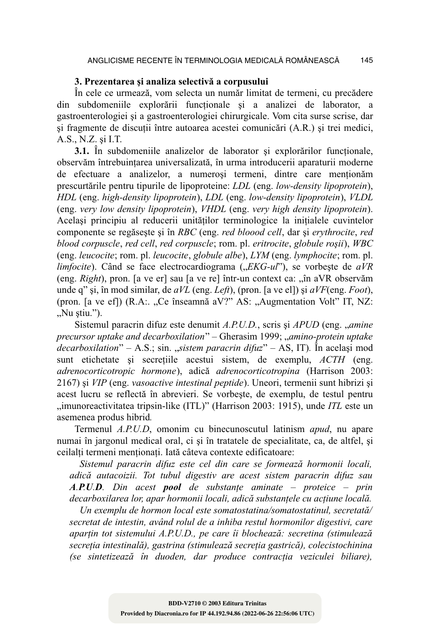## 3. Prezentarea și analiza selectivă a corpusului

În cele ce urmează, vom selecta un număr limitat de termeni, cu precădere din subdomeniile explorării funcționale și a analizei de laborator, a gastroenterologiei și a gastroenterologiei chirurgicale. Vom cita surse scrise, dar si fragmente de discutii între autoarea acestei comunicări (A.R.) și trei medici, A.S., N.Z. și I.T.

3.1. În subdomeniile analizelor de laborator și explorărilor funcționale, observăm întrebuintarea universalizată, în urma introducerii aparaturii moderne de efectuare a analizelor, a numerosi termeni, dintre care mentionam prescurtările pentru tipurile de lipoproteine: LDL (eng. low-density lipoprotein), HDL (eng. high-density lipoprotein), LDL (eng. low-density lipoprotein), VLDL (eng. very low density lipoprotein), VHDL (eng. very high density lipoprotein). Același principiu al reducerii unităților terminologice la inițialele cuvintelor componente se regăsește și în RBC (eng. red bloood cell, dar și erythrocite, red blood corpuscle, red cell, red corpuscle; rom. pl. eritrocite, globule rosii), WBC (eng. leucocite; rom. pl. leucocite, globule albe), LYM (eng. lymphocite; rom. pl. *limfocite*). Când se face electrocardiograma  $($ " $EKG-uI$ "), se vorbește de  $aVR$ (eng. *Right*), pron. [a ve er] sau [a ve re] într-un context ca: "în aVR observăm unde q" și, în mod similar, de aVL (eng. Left), (pron. [a ve el]) și aVF(eng. Foot), (pron. [a ve ef]) (R.A:. "Ce înseamnă aV?" AS: "Augmentation Volt" IT, NZ:  $Nu$  stiu.").

Sistemul paracrin difuz este denumit A.P.U.D., scris si APUD (eng. "amine precursor uptake and decarboxilation" - Gherasim 1999; "amino-protein uptake *decarboxilation*" – A.S.; sin. "*sistem paracrin difuz*" – AS, IT). In acelasi mod sunt etichetate si secretiile acestui sistem, de exemplu, ACTH (eng. *adrenocorticotropic hormone*), adică *adrenocorticotropina* (Harrison 2003: 2167) și VIP (eng. vasoactive intestinal peptide). Uneori, termenii sunt hibrizi și acest lucru se reflectă în abrevieri. Se vorbeste, de exemplu, de testul pentru "imunoreactivitatea tripsin-like (ITL)" (Harrison 2003: 1915), unde ITL este un asemenea produs hibrid.

Termenul A.P.U.D, omonim cu binecunoscutul latinism *apud*, nu apare numai în jargonul medical oral, ci și în tratatele de specialitate, ca, de altfel, și ceilalți termeni menționați. Iată câteva contexte edificatoare:

Sistemul paracrin difuz este cel din care se formează hormonii locali. adică autacoizii. Tot tubul digestiv are acest sistem paracrin difuz sau A.P.U.D. Din acest pool de substanțe aminate – proteice – prin decarboxilarea lor, apar hormonii locali, adică substanțele cu acțiune locală.

Un exemplu de hormon local este somatostatina/somatostatinul, secretată/ secretat de intestin, având rolul de a inhiba restul hormonilor digestivi, care aparțin tot sistemului A.P.U.D., pe care îi blochează: secretina (stimulează secreția intestinală), gastrina (stimulează secreția gastrică), colecistochinina (se sintetizează în duoden, dar produce contracția veziculei biliare),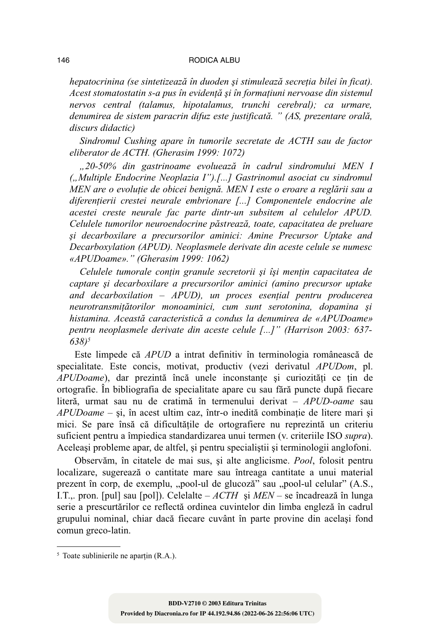#### RODICA ALBU

hepatocrinina (se sintetizează în duoden și stimulează secreția bilei în ficat). Acest stomatostatin s-a pus în evidentă și în formatiuni nervoase din sistemul nervos central (talamus, hipotalamus, trunchi cerebral); ca urmare, denumirea de sistem paracrin difuz este justificată. " (AS, prezentare orală, discurs didactic)

Sindromul Cushing apare în tumorile secretate de ACTH sau de factor eliberator de ACTH. (Gherasim 1999: 1072)

"20-50% din gastrinoame evoluează în cadrul sindromului MEN I ("Multiple Endocrine Neoplazia I").[...] Gastrinomul asociat cu sindromul MEN are o evolutie de obicei benignă. MEN I este o eroare a reglării sau a diferențierii crestei neurale embrionare [...] Componentele endocrine ale acestei creste neurale fac parte dintr-un subsitem al celulelor APUD. Celulele tumorilor neuroendocrine păstrează, toate, capacitatea de preluare și decarboxilare a precursorilor aminici: Amine Precursor Uptake and Decarboxylation (APUD). Neoplasmele derivate din aceste celule se numesc «APUDoame»." (Gherasim 1999: 1062)

Celulele tumorale conțin granule secretorii și își mențin capacitatea de captare si decarboxilare a precursorilor aminici (amino precursor uptake and decarboxilation  $-$  APUD), un proces esential pentru producerea neurotransmitătorilor monoaminici, cum sunt serotonina, dopamina si histamina. Această caracteristică a condus la denumirea de «APUDoame» pentru neoplasmele derivate din aceste celule [...]" (Harrison 2003: 637- $638)^5$ 

Este limpede că *APUD* a intrat definitiv în terminologia românească de specialitate. Este concis, motivat, productiv (vezi derivatul APUDom, pl. APUDoame), dar prezintă încă unele inconstanțe și curiozități ce țin de ortografie. În bibliografia de specialitate apare cu sau fără puncte după fiecare literă, urmat sau nu de cratimă în termenului derivat – APUD-oame sau APUDoame - și, în acest ultim caz, într-o inedită combinație de litere mari și mici. Se pare însă că dificultățile de ortografiere nu reprezintă un criteriu suficient pentru a împiedica standardizarea unui termen (v. criteriile ISO supra). Aceleași probleme apar, de altfel, și pentru specialiștii și terminologii anglofoni.

Observăm, în citatele de mai sus, și alte anglicisme. Pool, folosit pentru localizare, sugerează o cantitate mare sau întreaga cantitate a unui material prezent în corp, de exemplu, "pool-ul de glucoză" sau "pool-ul celular" (A.S., I.T.,. pron. [pul] sau [pol]). Celelalte –  $ACTH$  și  $MEN$  – se încadrează în lunga serie a prescurtărilor ce reflectă ordinea cuvintelor din limba engleză în cadrul grupului nominal, chiar dacă fiecare cuvânt în parte provine din același fond comun greco-latin.

146

 $5$  Toate sublinierile ne apartin (R.A.).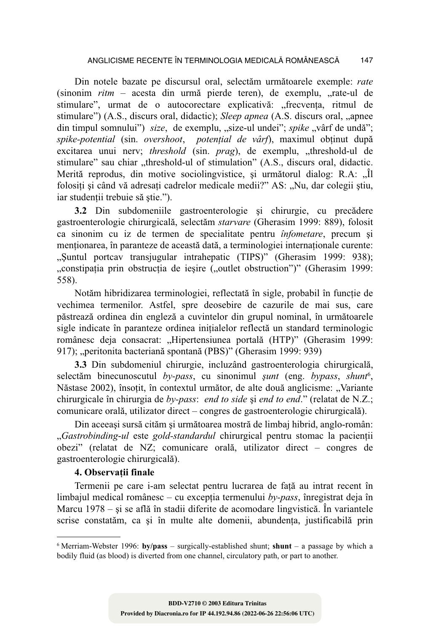Din notele bazate pe discursul oral, selectăm următoarele exemple: rate (sinonim *ritm* – acesta din urmă pierde teren), de exemplu, "rate-ul de stimulare", urmat de o autocorectare explicativă: "frecvența, ritmul de stimulare") (A.S., discurs oral, didactic); *Sleep apnea* (A.S. discurs oral, "apnee din timpul somnului") size, de exemplu, "size-ul undei"; spike "vârf de undă"; spike-potential (sin. overshoot, potențial de vârf), maximul obținut după excitarea unui nerv; threshold (sin. prag), de exemplu, "threshold-ul de stimulare" sau chiar "threshold-ul of stimulation" (A.S., discurs oral, didactic. Merită reprodus, din motive sociolingvistice, si următorul dialog: R.A. ...îl folosiți și când vă adresați cadrelor medicale medii?" AS: "Nu, dar colegii știu, iar studentii trebuie să stie.").

3.2 Din subdomeniile gastroenterologie și chirurgie, cu precădere gastroenterologie chirurgicală, selectăm *starvare* (Gherasim 1999: 889), folosit ca sinonim cu iz de termen de specialitate pentru *înfometare*, precum și menționarea, în paranteze de această dată, a terminologiei internaționale curente: "Suntul portcav transjugular intrahepatic (TIPS)" (Gherasim 1999: 938); "constipația prin obstrucția de ieșire ("outlet obstruction")" (Gherasim 1999: 558).

Notăm hibridizarea terminologiei, reflectată în sigle, probabil în functie de vechimea termenilor. Astfel, spre deosebire de cazurile de mai sus, care păstrează ordinea din engleză a cuvintelor din grupul nominal, în următoarele sigle indicate în paranteze ordinea initialelor reflectă un standard terminologic românesc deja consacrat: "Hipertensiunea portală (HTP)" (Gherasim 1999: 917); "peritonita bacteriană spontană (PBS)" (Gherasim 1999: 939)

3.3 Din subdomeniul chirurgie, incluzând gastroenterologia chirurgicală, selectăm binecunoscutul by-pass, cu sinonimul sunt (eng. bypass, shunt<sup>6</sup>, Năstase 2002), însoțit, în contextul următor, de alte două anglicisme: "Variante chirurgicale în chirurgia de  $by$ -pass: end to side și end to end." (relatat de N.Z.; comunicare orală, utilizator direct – congres de gastroenterologie chirurgicală).

Din aceeasi sursă cităm și următoarea mostră de limbaj hibrid, anglo-român: "*Gastrobinding-ul* este *gold-standardul* chirurgical pentru stomac la pacienții obezi" (relatat de NZ; comunicare orală, utilizator direct – congres de gastroenterologie chirurgicală).

## 4. Observatii finale

Termenii pe care i-am selectat pentru lucrarea de față au intrat recent în limbajul medical românesc – cu excepția termenului  $by-pass$ , înregistrat deja în Marcu  $1978 - si$  se află în stadii diferite de acomodare lingvistică. În variantele scrise constatăm, ca și în multe alte domenii, abundenta, justificabilă prin

<sup>&</sup>lt;sup>6</sup> Merriam-Webster 1996: **by/pass** – surgically-established shunt; **shunt** – a passage by which a bodily fluid (as blood) is diverted from one channel, circulatory path, or part to another.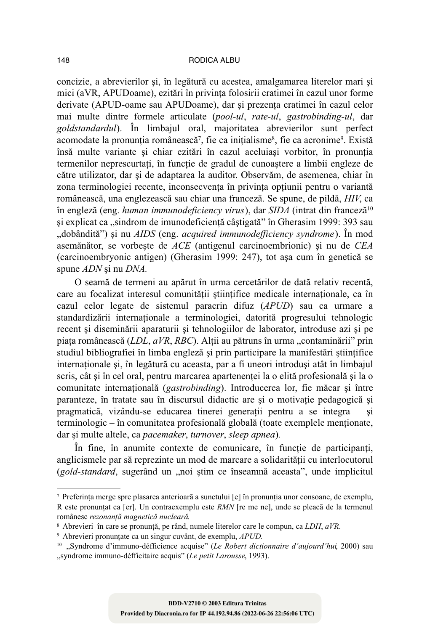concizie, a abrevierilor și, în legătură cu acestea, amalgamarea literelor mari și mici (aVR, APUDoame), ezitări în privinta folosirii cratimei în cazul unor forme derivate (APUD-oame sau APUDoame), dar și prezența cratimei în cazul celor mai multe dintre formele articulate (pool-ul, rate-ul, gastrobinding-ul, dar goldstandardul). În limbajul oral, majoritatea abrevierilor sunt perfect acomodate la pronuntia românească<sup>7</sup>, fie ca initialisme<sup>8</sup>, fie ca acronime<sup>9</sup>, Există însă multe variante și chiar ezitări în cazul aceluiași vorbitor, în pronuntia termenilor neprescurtați, în funcție de gradul de cunoaștere a limbii engleze de către utilizator, dar și de adaptarea la auditor. Observăm, de asemenea, chiar în zona terminologiei recente, inconsecventa în privinta optiunii pentru o variantă românească, una englezească sau chiar una franceză. Se spune, de pildă, HIV, ca în engleză (eng. human immunodeficiency virus), dar SIDA (intrat din franceză<sup>10</sup> si explicat ca "sindrom de imunodeficientă câstigată" în Gherasim 1999: 393 sau "dobândită") și nu AIDS (eng. *acquired immunodefficiency syndrome*). În mod asemănător, se vorbește de ACE (antigenul carcinoembrionic) și nu de CEA (carcinoembryonic antigen) (Gherasim 1999: 247), tot așa cum în genetică se spune ADN si nu DNA.

O seamă de termeni au apărut în urma cercetărilor de dată relativ recentă, care au focalizat interesul comunitătii stiintifice medicale internationale, ca în cazul celor legate de sistemul paracrin difuz (APUD) sau ca urmare a standardizării internationale a terminologiei, datorită progresului tehnologic recent și diseminării aparaturii și tehnologiilor de laborator, introduse azi și pe piața românească (LDL, aVR, RBC). Alții au pătruns în urma "contaminării" prin studiul bibliografiei în limba engleză și prin participare la manifestări științifice internaționale și, în legătură cu aceasta, par a fi uneori introduși atât în limbajul scris, cât și în cel oral, pentru marcarea apartenenței la o elită profesională și la o comunitate internațională (gastrobinding). Introducerea lor, fie măcar și între paranteze, în tratate sau în discursul didactic are și o motivatie pedagogică și pragmatică, vizându-se educarea tinerei generații pentru a se integra – și terminologic – în comunitatea profesională globală (toate exemplele menționate, dar și multe altele, ca pacemaker, turnover, sleep apnea).

În fine, în anumite contexte de comunicare, în funcție de participanți, anglicismele par să reprezinte un mod de marcare a solidaritătii cu interlocutorul (gold-standard, sugerând un "noi stim ce înseamnă aceasta", unde implicitul

<sup>7</sup> Preferinta merge spre plasarea anterioară a sunetului [e] în pronuntia unor consoane, de exemplu, R este pronuntat ca [er]. Un contraexemplu este RMN [re me ne], unde se pleacă de la termenul românesc rezonanță magnetică nucleară.

<sup>&</sup>lt;sup>8</sup> Abrevieri în care se pronuntă, pe rând, numele literelor care le compun, ca LDH, aVR.

<sup>&</sup>lt;sup>9</sup> Abrevieri pronunțate ca un singur cuvânt, de exemplu, *APUD*.

<sup>&</sup>lt;sup>10</sup> "Syndrome d'immuno-défficience acquise" (Le Robert dictionnaire d'aujourd'hui, 2000) sau "syndrome immuno-défficitaire acquis" (Le petit Larousse, 1993).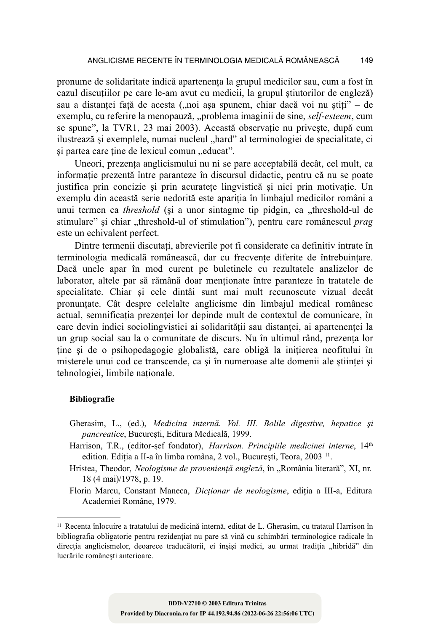pronume de solidaritate indică apartenenta la grupul medicilor sau, cum a fost în cazul discutiilor pe care le-am avut cu medicii, la grupul stiutorilor de engleză) sau a distanței față de acesta ("noi așa spunem, chiar dacă voi nu știți" – de exemplu, cu referire la menopauză, "problema imaginii de sine, self-esteem, cum se spune", la TVR1, 23 mai 2003). Această observatie nu priveste, după cum ilustrează și exemplele, numai nucleul "hard" al terminologiei de specialitate, ci si partea care tine de lexicul comun "educat".

Uneori, prezenta anglicismului nu ni se pare acceptabilă decât, cel mult, ca informatie prezentă între paranteze în discursul didactic, pentru că nu se poate justifica prin concizie si prin acuratete lingvistică si nici prin motivatie. Un exemplu din această serie nedorită este apariția în limbajul medicilor români a unui termen ca *threshold* (si a unor sintagme tip pidgin, ca "threshold-ul de stimulare" si chiar "threshold-ul of stimulation"), pentru care românescul *prag* este un echivalent perfect.

Dintre termenii discutați, abrevierile pot fi considerate ca definitiv intrate în terminologia medicală românească, dar cu frecvente diferite de întrebuintare. Dacă unele apar în mod curent pe buletinele cu rezultatele analizelor de laborator, altele par să rămână doar mentionate între paranteze în tratatele de specialitate. Chiar si cele dintâi sunt mai mult recunoscute vizual decât pronuntate. Cât despre celelalte anglicisme din limbajul medical românesc actual, semnificatia prezentei lor depinde mult de contextul de comunicare, în care devin indici sociolingvistici ai solidarității sau distanței, ai apartenenței la un grup social sau la o comunitate de discurs. Nu în ultimul rând, prezenta lor tine și de o psihopedagogie globalistă, care obligă la initierea neofitului în misterele unui cod ce transcende, ca și în numeroase alte domenii ale științei și tehnologiei, limbile nationale.

#### **Bibliografie**

- Gherasim, L., (ed.), Medicina internă. Vol. III. Bolile digestive, hepatice și pancreatice, București, Editura Medicală, 1999.
- Harrison, T.R., (editor-sef fondator), Harrison. Principiile medicinei interne, 14th edition. Ediția a II-a în limba româna, 2 vol., București, Teora, 2003<sup>11</sup>.
- Hristea, Theodor, Neologisme de proveniență engleză, în "România literară", XI, nr. 18 (4 mai)/1978, p. 19.

Florin Marcu, Constant Maneca, Dicționar de neologisme, ediția a III-a, Editura Academiei Române, 1979.

<sup>&</sup>lt;sup>11</sup> Recenta înlocuire a tratatului de medicină internă, editat de L. Gherasim, cu tratatul Harrison în bibliografia obligatorie pentru rezidențiat nu pare să vină cu schimbări terminologice radicale în direcția anglicismelor, deoarece traducătorii, ei înșiși medici, au urmat tradiția "hibridă" din lucrările românesti anterioare.